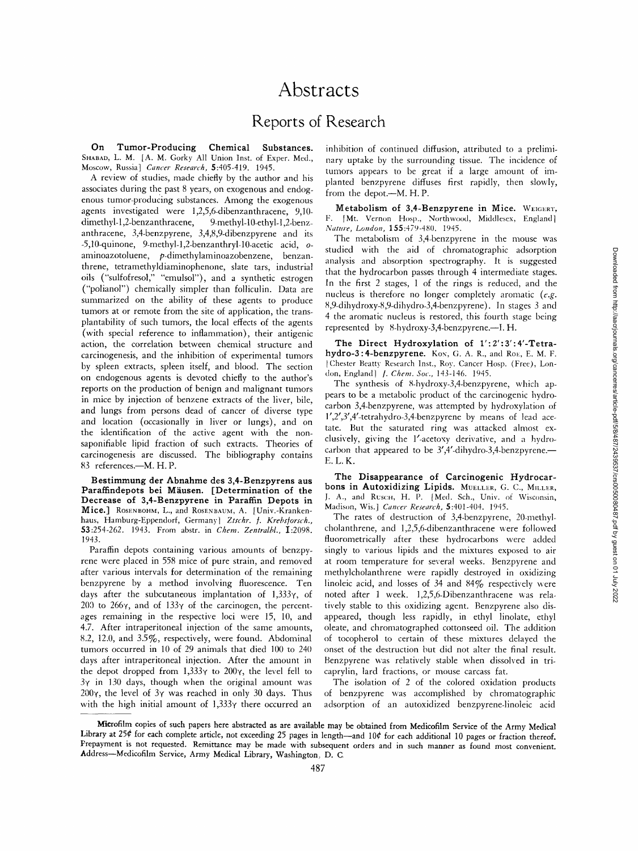# **Abstracts**

## **Reports of Research**

**On Tumor-Producing Chemical Substances.**  SHABAD, L. M. [A. M. Gorky All Union Inst. of Exper. Med., Moscow, Russia] *Cancer Research,* 5:405-419. 1945.

A review of studies, made chiefly by the author and his associates during the past 8 years, on exogenous and endogenous tumor-producing substances. Among the exogenous agents investigated were 1,2,5,6-dibenzanthracene, 9,10 dimethyl-1,2-benzanthracene, 9-methyl-10-ethyl-1,2-benzanthracene, 3,4-benzpyrene, 3,4,8,9-dibenzpyrene and its -5,10-quinone, 9-methyl-l,2-benzanthryl-10-acetic acid, oaminoazotoluene, p-dimethylaminoazobenzene, benzanthrene, tetramethyldiaminophenone, slate tars, industrial oils ("sulfofresol," "emulsol"), and a synthetic estrogen ("polianol") chemically simpler than folliculin. Data are summarized on the ability of these agents to produce tumors at or remote from the site of application, the transplantability of such tumors, the local effects of the agents (with special reference to inflammation), their antigenic action, the correlation between chemical structure and carcinogenesis, and the inhibition of experimental tumors by spleen extracts, spleen itself, and blood. The section on endogenous agents is devoted chiefly to the author's reports on the production of benign and malignant tumors in mice by injection of benzene extracts of the liver, bile, and lungs from persons dead of cancer of diverse type and location (occasionally in liver or lungs), and on the identification of the active agent with the nonsaponifiable lipid fraction of such extracts. Theories of carcinogenesis are discussed. The bibliography contains 83 references.--M. H. P.

**Bestimmung der Abnahme des 3,4-Benzpyrens aus**  Paraffindepots bei Mäusen. [Determination of the **Decrease of 3,4-Benzpyrene in Paraffin Depots in Mice.**] ROSENBOHM, L., and ROSENBAUM, A. [Univ.-Krankenhaus, Hamburg-Eppendorf, Germany] *Ztschr. ]. Krebs/orsch.,*  53:254-262. 1943. From abstr, in *Chem. Zentralbl.,* I:2098. 1943.

Paraffin depots containing various amounts of benzpyrene were placed in 558 mice of pure strain, and removed after various intervals for determination of the remaining benzpyrene by a method involving fluorescence. Ten days after the subcutaneous implantation of  $1,333\gamma$ , of 200 to 266 $\gamma$ , and of 133 $\gamma$  of the carcinogen, the percentages remaining in the respective loci were 15, 10, and 4.7. After intraperitoneal injection of the same amounts, 8.2, 12.0, and 3.5%, respectively, were found. Abdominal tumors occurred in 10 of 29 animals that died 100 to 240 days after intraperitoneal injection. After the amount in the depot dropped from  $1,333\gamma$  to  $200\gamma$ , the level fell to  $3\gamma$  in 130 days, though when the original amount was 200 $\gamma$ , the level of 3 $\gamma$  was reached in only 30 days. Thus with the high initial amount of  $1,333\gamma$  there occurred an inhibition of continued diffusion, attributed to a preliminary uptake by the surrounding tissue. The incidence of tumors appears to be great if a large amount of implanted benzpyrene diffuses first rapidly, then slowly, from the depot.--M. H. P.

**Metabolism of 3.4-Benzpyrene in Mice.** WEIGERT, F. [Mt. Vernon Hosp., Northwood, Middlesex, England] *Nature, London,* 155:479-480. 1945.

The metabolism of 3,4-benzpyrene in the mouse was studied with the aid of chromatographic adsorption analysis and absorption spectrography. It is suggested that the hydrocarbon passes through 4 intermediate stages. In the first 2 stages, 1 of the rings is reduced, and the nucleus is therefore no longer completely aromatic *(e.g.*  8,9-dihydroxy-8,9-dihydro-3,4-benzpyrene). In stages 3 and 4 the aromatic nucleus is restored, this fourth stage being represented by 8-hydroxy-3,4-benzpyrene.--I. H.

**The Direct Hydroxylation of l':2':3':4'-Tetra**hydro-3:4-benzpyrene. Kox, G. A. R., and RoE, E. M. F. [Chester Beatty Research Inst., Roy. Cancer Hosp. (Free), London, England] */. Chem. Sot.,* 143-146. 1945.

The synthesis of 8-hydroxy-3,4-benzpyrene, which appears to be a metabolic product of the carcinogenic hydrocarbon 3,4-benzpyrene, was attempted by hydroxylation of l',2',3',4'-tetrahydro-3,4-benzpyrene by means of lead acetate. But the saturated ring was attacked almost exclusively, giving the l'-acetoxy derivative, and a hydrocarbon that appeared to be  $3'$ ,4'-dihydro-3,4-benzpyrene.-E.L.K.

**The Disappearance of Carcinogenic Hydrocar**bons in Autoxidizing Lipids. MUELLER, G. C., MILLER, J. A., and RUSCH, H. P. [Med. Sch., Univ. of Wisconsin, Madison, Wis.] *Cancer Research,* 5:401-404. 1945.

The rates of destruction of 3,4-benzpyrene, 20-methylcholanthrene, and 1,2,5,6-dibenzanthracene were followed fluorometrically after these hydrocarbons were added singly to various lipids and the mixtures exposed to air at room temperature for several weeks. Benzpyrene and methylcholanthrene were rapidly destroyed in oxidizing linoleic acid, and losses of 34 and 84% respectively were noted after 1 week. 1,2,5,6-Dibenzanthracene was relatively stable to this oxidizing agent. Benzpyrene also disappeared, though less rapidly, in ethyl linolate, ethyl oleate, and chromatographed cottonseed oil. The addition of tocopherol to certain of these mixtures delayed the onset of the destruction but did not alter the final result. Benzpyrene was relatively stable when dissolved in tricaprylin, lard fractions, or mouse carcass fat.

The isolation of 2 of the colored oxidation products of benzpyrene was accomplished by chromatographic adsorption of an autoxidized benzpyrene-linoleic acid

Microfilm copies of **such papers here abstracted as are available may be obtained from Medicofilm Service of** the Army **Medical**  Library at 25¢ for each complete article, not exceeding 25 pages in length—and 10¢ for each additional 10 pages or fraction thereof. Prepayment is not requested. Remittance may be made with **subsequent orders** and in such manner as found most convenient. Address--Medicofilm Service, Army Medical Library, Washington, D. C.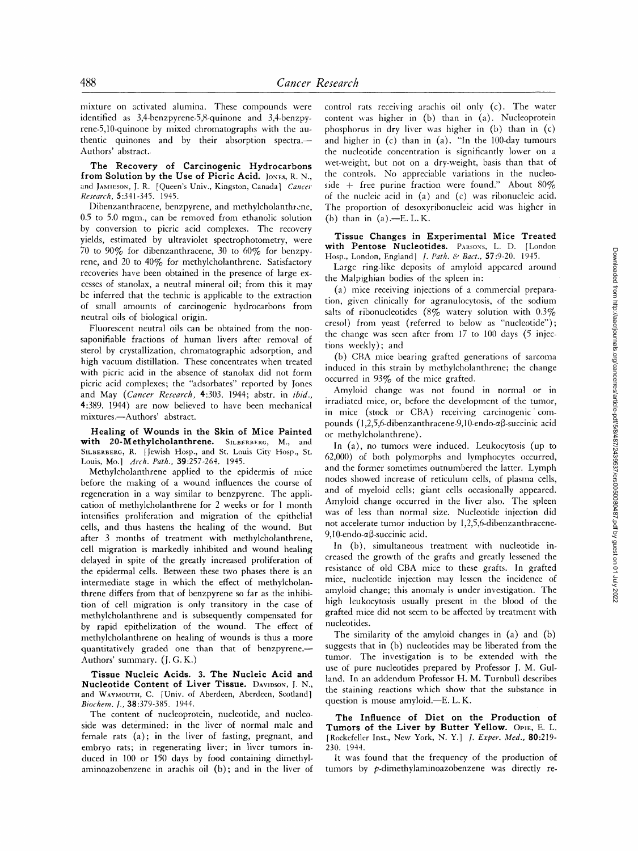mixture on activated alumina. These compounds were identified as 3,4-benzpyrene-5,8-quinone and 3,4-benzpyrene-5,10-quinone by mixed chromatographs with the authentic quinones and by their absorption spectra.-Authors' abstract..

**The Recovery of Carcinogenic Hydrocarbons**  from Solution by the Use of Picric Acid. *JONES, R. N.,* and JAMIESON, I. R. [Queen's Univ., Kingston, Canada] *Cancer Research,* 5:341-345. 1945.

Dibenzanthracene, benzpyrene, and methylcholanthrene, 0.5 to 5.0 mgm., can be removed from ethanolic solution by conversion to picric acid complexes. The recovery yields, estimated by ultraviolet spectrophotometry, were 70 to 90% for dibenzanthracene, 30 to 60% for benzpyrene, and 20 to 40% for methylcholanthrene. Satisfactory recoveries have been obtained in the presence of large excesses of stanolax, a neutral mineral oil; from this it may be inferred that the technic is applicable to the extraction of small amounts of carcinogenic hydrocarbons from neutral oils of biological origin.

Fluorescent neutral oils can be obtained from the nonsaponifiable fractions of human livers after removal of sterol by crystallization, chromatographic adsorption, and high vacuum distillation. These concentrates when treated with picric acid in the absence of stanolax did not form picric acid complexes; the "adsorbates" reported by Jones and May *(Cancer Research,* 4:303. 1944; abstr, in *ibid.,*  4:389. 1944) are now believed to have been mechanical mixtures.--Authors' abstract.

**Healing of Wounds in the Skin of Mice Painted**  with 20-Methylcholanthrene. SILBERBERG, M., and SILBERBERG, R. [Jewish Hosp., and St. Louis City Hosp., St. Louis, Mo.] *Arch. Path.,* 39:257-264. 1945.

Methylcholanthrene applied to the epidermis of mice before the making of a wound influences the course of regeneration in a way similar to benzpyrene. The application of methylcholanthrene for 2 weeks or for 1 month intensifies proliferation and migration of the epithelial cells, and thus hastens the healing of the wound. But after 3 months of treatment with methylcholanthrene, cell migration is markedly inhibited and wound healing delayed in spite of the greatly increased proliferation of the epidermal cells. Between these two phases there is an intermediate stage in which the effect of methylcholanthrene differs from that of benzpyrene so far as the inhibition of cell migration is only transitory in the case of methylcholanthrene and is subsequently compensated for by rapid epithelization of the wound. The effect of methylcholanthrene on healing of wounds is thus a more quantitatively graded one than that of benzpyrene.-Authors' summary. (J. G. K.)

**Tissue Nucleic Acids. 3. The Nucleic Acid and Nucleotide Content of Liver Tissue.** DAVIDSON, J. N., and WAVMOUTH, C. [Univ. of Aberdeen, Aberdeen, Scotland] *Biochem. l-,* 38:379-385. 1944.

The content of nucleoprotein, nucleotide, and nucleoside was determined: in the liver of normal male and female rats (a); in the liver of fasting, pregnant, and embryo rats; in regenerating liver; in liver tumors induced in 100 or 150 days by food containing dimethylaminoazobenzene in arachis oil (b); and in the liver of

control rats receiving arachis oil only (c). The water content was higher in (b) than in (a). Nucleoprotein phosphorus in dry liver was higher in (b) than in (c) and higher in (c) than in (a). "In the 100-day tumours the nucleotide concentration is significantly lower on a wet-weight, but not on a dry-weight, basis than that of the controls. No appreciable variations in the nucleoside + free purine fraction were found." About  $80\%$ of the nucleic acid in (a) and (c) was ribonucleic acid. The proportion of desoxyribonucleic acid was higher in (b) than in  $(a)$ .-E. L. K.

**Tissue Changes in Experimental Mice Treated**  with Pentose Nucleotides. PARSONS, L. D. [London Hosp., London, England] *1. Path. & Bact.,* 57:9-20. 1945.

Large ring-like deposits of amyloid appeared around the Malpighian bodies of the spleen in:

(a) mice receiving injections of a commercial preparation, given clinically for agranulocytosis, of the sodium salts of ribonucleotides (8% watery solution with  $0.3\%$ cresol) from yeast (referred to below as "nucleotide"); the change was seen after from 17 to 100 days (5 injections weekly); and

(b) CBA mice bearing grafted generations of sarcoma induced in this strain by methylcholanthrene; the change occurred in 93% of the mice grafted.

Amyloid change was not found in normal or in irradiated mice, or, before the development of the tumor, in mice (stock or CBA) receiving carcinogenic'compounds  $(1.2.5.6$ -dibenzanthracene-9,10-endo- $\alpha$ B-succinic acid or methylcholanthrene).

In (a), no tumors were induced. Leukocytosis (up to 62,000) of both polymorphs and lymphocytes occurred, and the former sometimes outnumbered the latter. Lymph nodes showed increase of reticulum cells, of plasma cells, and of myeloid cells; giant cells occasionally appeared. Amyloid change occurred in the liver also. The spleen was of less than normal size. Nucleotide injection did not accelerate tumor induction by 1,2,5,6-dibenzanthracene-9,10-endo- $\alpha\beta$ -succinic acid.

In (b), simultaneous treatment with nucleotide increased the growth of the grafts and greatly lessened the resistance of old CBA mice to these grafts. In grafted mice, nucleotide injection may lessen the incidence of amyloid change; this anomaly is under investigation. The high leukocytosis usually present in the blood of the grafted mice did not scent to be affected by treatment with nucleotides.

The similarity of the amyloid changes in (a) and (b) suggests that in (b) nucleotides may be liberated from the tumor. The investigation is to be extended with the use of pure nucleotides prepared by Professor 1. M. Gulland. In an addendum Professor H. M. Turnbull describes the staining reactions which show that the substance in question is mouse amyloid.-E. L. K.

**The Influence of Diet on the Production of**  Tumors of the Liver by Butter Yellow. OPIE, E. L. *[Rockefeller* Inst., New York, N. Y.] *1. Exper. Med.,* 80:219- 230. 1944.

It was found that the frequency of the production of tumors by p-dimethylaminoazobenzene was directly re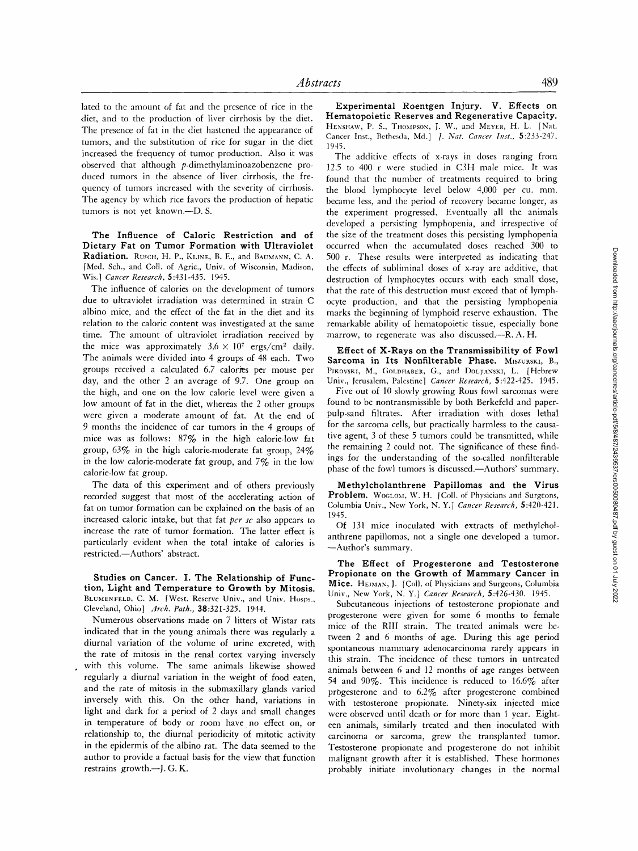lated to the amount of fat and the presence of rice in the diet, and to the production of liver cirrhosis by the diet. The presence of fat in the diet hastened the appearance of tumors, and the substitution of rice for sugar in the diet increased the frequency of tumor production. Also it was observed that although p-dimethylaminoazobenzene produced tumors in the absence of liver cirrhosis, the frequency of tumors increased with the severity of cirrhosis. The agency by which rice favors the production of hepatic tumors is not yet known.--D.S.

**The Influence of Caloric Restriction and of Dietary Fat on Tumor Formation with Ultraviolet Radiation.** RUSCH, H. P., KLINE, B. E., and BAUMANN, C. A. [Med. Sch., and Coll. of Agric., Univ. of Wisconsin, Madison, Wis.] *Cancer Research,* 5:431-435. 1945.

The influence of calories on the development of tumors due to ultraviolet irradiation was determined in strain C albino mice, and the effect of the fat in the diet and its relation to the caloric content was investigated at the same time. The amount of ultraviolet irradiation received by the mice was approximately  $3.6 \times 10^7$  ergs/cm<sup>2</sup> daily. The animals were divided into 4 groups of 48 each. Two groups received a calculated *6.7* calories per mouse per day, and the other 2 an average of 9.7. One group on the high, and one on the low calorie level were given a low amount of fat in the diet, whereas the 2 other groups were given a moderate amount of fat. At the end of 9 months the incidence of ear tumors in the 4 groups of mice was as follows:  $87\%$  in the high calorie-low fat group, 63% in the high calorie-moderate fat group, 24% in the low calorie-moderate fat group, and  $7\%$  in the low calorie-low fat group.

The data of this experiment and of others previously recorded suggest that most of the accelerating action of fat on tumor formation can be explained on the basis of an increased caloric intake, but that fat *per se* also appears to increase the rate of tumor formation. The latter effect is particularly evident when the total intake of calories is restricted.--Authors' abstract.

**Studies on Cancer. I. The Relationship of Function, Light and Temperature to Growth by Mitosis.**  BLUMENFELD, C. M. [West. Reserve Univ., and Univ. Hosps., Cleveland, Ohio] *Arch. Path.,* 38:321-325. 1944.

Numerous observations made on 7 litters of Wistar rats indicated that in the young animals there was regularly a diurnal variation of the volume of urine excreted, with the rate of mitosis in the renal cortex varying inversely with this volume. The same animals likewise showed regularly a diurnal variation in the weight of food eaten, and the rate of mitosis in the submaxillary glands varied inversely with this. On the other hand, variations in light and dark for a period of 2 days and small changes in temperature of body or room have no effect on, or relationship to, the diurnal periodicity of mitotic activity in the epidermis of the albino rat. The data seemed to the author to provide a factual basis for the view that function restrains growth.-J. G. K.

**Experimental Roentgen** Injury. V. **Effects on Hematopoietic Reserves and Regenerative Capacity.**  HENSHAW, P. S., THOMPSON, J. W., and MEYER, H. L. [Nat. Cancer Inst., Bethesda, Md.] *I. Nat. Cancer lnst.,* 5:233-247. 1945.

The additive effects of x-rays in doses ranging from 12.5 to 400 r were studied in C3H male mice. It was found that the number of treatments required to bring the blood lymphocyte level below 4,000 per cu. mm. became less, and the period of recovery became longer, as the experiment progressed. Eventually all the animals developed a persisting lymphopenia, and irrespective of the size of the treatment doses this persisting lymphopenia occurred when the accumulated doses reached 300 to 500 r. These results were interpreted as indicating that the effects of subliminal doses of x-ray are additive, that destruction of lymphocytes occurs with each small dose, that the rate of this destruction must exceed that of lymphocyte production, and that the persisting lymphopenia marks the beginning of lymphoid reserve exhaustion. The remarkable ability of hematopoietic tissue, especially bone marrow, to regenerate was also discussed.--R. A. H.

**Effect of X-Rays on the Transmissibility of Fowl**  Sarcoma in Its Nonfilterable Phase. MISZURSKI, B., PIKOVSKI, M., GOLDHABER, G., and DOLJANSKI, L. [Hebrew Univ., Ierusalem, Palestine] *Cancer Research,* 5:422-425. 1945.

Five out of 10 slowly growing Rous fowl sarcomas were found to be nontransmissible by both Berkefeld and paperpulp-sand filtrates. After irradiation with doses lethal for the sarcoma cells, but practically harmless to the causative agent, 3 of these 5 tumors could be transmitted, while the remaining 2 could not. The significance of these findings for the understanding of the so-called nonfilterable phase of the fowl tumors is discussed.--Authors' summary.

**Methylcholanthrene Papillomas and the Virus**  Problem. WOGLOM, W. H. [Coll. of Physicians and Surgeons, Columbia Univ., New York, N. Y.] *Cancer Research,* 5:420-421. 1945.

Of 131 mice inoculated with extracts of methylchotanthrene papillomas, not a single one developed a tumor. -Author's summary.

**The Effect of Progesterone and Testosterone Propionate on the Growth of Mammary Cancer in Mice.** HEIMAY, J. [Coll. of Physicians and Surgeons, Columbia Univ., New York, N. Y.] *Cancer Research,* 5:426-430. 1945.

Subcutaneous injections of testosterone propionate and progesterone were given for some 6 months to female mice of the Rill strain. The treated animals were between 2 and 6 months of age. During this age period spontaneous mammary adenocarcinoma rarely appears in this strain. The incidence of these tumors in untreated animals between 6 and 12 months of age ranges between 54 and 90%. This incidence is reduced to 16.6% after prbgesterone and to 6.2% after progesterone combined with testosterone propionate. Ninety-six injected mice were observed until death or for more than 1 year. Eighteen animals, similarly treated and then inoculated with carcinoma or sarcoma, grew the transplanted tumor. Testosterone propionate and progesterone do not inhibit malignant growth after it is established. These hormones probably initiate involutionary changes in the normal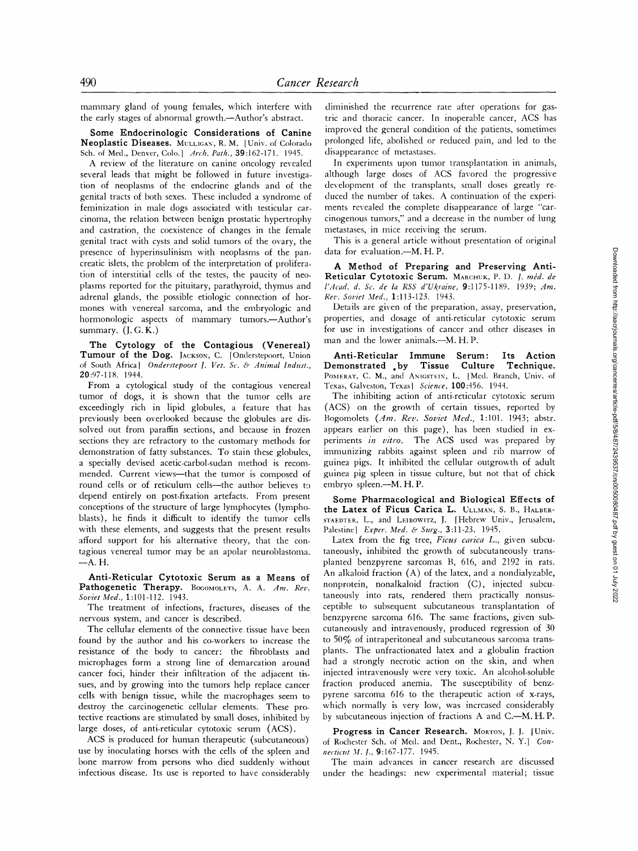mammary gland of young females, which interfere with the early stages of abnormal growth.--Author's abstract.

**Some Endocrinologic Considerations of Canine Neoplastic Diseases.** MULLIGAN', R.M. [Univ. of Colorado Sch. of Med., Denver, Colo.[ *Arch. Path.,* 39:162-171. 1945.

A review of the literature on canine oncology revealed several leads that might be followed in future investigation of neoplasms of the endocrine glands and of the genital tracts of both sexes. These included a syndrome of feminization in male dogs associated with testicular carcinoma, the relation between benign prostatic hypertrophy and castration, the coexistence of changes in the female genital tract with cysts and solid tumors of the ovary, the presence of hyperinsulinism with neoplasms of the pancreatic islets, the problem of the interpretation of proliferation of interstitial cells of the testes, the paucity of neoplasms reported for the pituitary, parathyroid, thymus and adrenal glands, the possible etiologic connection of hormones with venereal sarcoma, and the embryologic and hormonologic aspects of mammary tumors.--Author's summary.  $(I, G, K.)$ 

**The Cytology of the Contagious (Venereal) Tumour of the** Dog. JACKSON, C. [Onderstepoort, Union of South Africa] Onderstepoort J. Vet. Sc. & Animal Indust., 20:97-I 18. 1944.

From a cytological study of the contagious venereal tumor of dogs, it is shown that the tumor cells are exceedingly rich in lipid globules, a feature that has previously been overlooked because the globules are dissolved out from paraffin sections, and because in frozen sections they are refractory to the customary methods for demonstration of fatty substances. To stain these globules, a specially devised acetic-carbol-sudan method is recommended. Current views-that the tumor is composed of round cells or of reticulum cells--the author believes to depend entirely on post-fixation artefacts. From present conceptions of the structure of large lymphocytes (lymphoblasts), he finds it difficult to identify the tumor cells with these elements, and suggests that the present results afford support for his alternative theory, that the contagious venereal tumor may be an apolar neuroblastoma.  $-A.H.$ 

**Anti-Reticular Cytotoxic Serum as a Means of**  Pathogenetic Therapy. BOGOMOLETS, A. A. Am. Rev. *Soviet Med.,* 1:101-112. 1943.

The treatment of infections, fractures, diseases of the nervous system, and cancer is described.

The cellular elements of the connective tissue have been found by the author and his co-workers to increase the resistance of the body to cancer: the fibroblasts and microphages form a strong line of demarcation around cancer foci, hinder their infiltration of the adjacent tissues, and by growing into the tumors help replace cancer cells with benign tissue, while the macrophages seem to destroy the carcinogenetic cellular elements. These protective reactions are stimulated by small doses, inhibited by large doses, of anti-reticular cytotoxic serum (ACS).

ACS is produced for human therapeutic (subcutaneous) use by inoculating horses with the cells of the spleen and bone marrow from persons who died suddenly without infectious disease. Its use is reported to have considerably

diminished the recurrence rate after operations for gastric and thoracic cancer. In inoperable cancer, ACS has improved the general condition of the patients, sometimes prolonged life, abolished or reduced pain, and led to the disappearance of metastases.

In experiments upon tumor transplantation in animals, although large doses of ACS favored the progressive development of the transplants, small doses greatly reduced the number of takes. A continuation of the experiments revealed the complete disappearance of large "carcinogenous tumors," and a decrease in the number of lung metastases, in mice receiving the serum.

This is a general article without presentation of original data for evaluation.--M. H. P.

**A Method of Preparing and Preserving Anti-**Reticular Cytotoxic Serum. MARCHUK, P. D. *J. méd. de l'Acad, d. Sc. de la RSS d'Ukraine,* 9:1175-1189. 1939; *Am. Rev. Soviet Med.,* 1:113-123. 1943.

Details are given of the preparation, assay, preservation, properties, and dosage of anti-reticular cytotoxic serum for use in investigations of cancer and other diseases in man and the lower animals.—M. H. P.

**Anti-Reticular Immune Serum: Its Action Demonstrated . by Tissue Culture Technique.**  POMERAT, C. M., and ANIGSTEIN, L. [Med. Branch, Univ. of Texas, Galveston, Texasl *Science,* 100:456. 1944.

The inhibiting action of anti-reticular cytotoxic serum (ACS) on the growth of certain tissues, reported by Bogomolets *(Am. Rev. Soviet Med.,* 1:101. 1943; abstr. appears earlier on this page), has been studied in experiments *in vitro.* The ACS used was prepared by immunizing rabbits against spleen and rib marrow of guinea pigs. It inhibited the cellular outgrowth of adult guinea pig spleen in tissue culture, but not that of chick embryo spleen.--M. H. P.

**Some Pharmacological and Biological Effects of**  the Latex of Ficus Carica L. ULLMAN, S. B., HALBER-STAEDTER, L., and LEIBOWITZ, I. [Hebrew Univ., Jerusalem, Palestine] *Exper. Med. & Surg.,* 3:11-23. 1945.

Latex from the fig tree, *Ficus carica L.,* given subcutaneously, inhibited the growth of subcutaneously transplanted benzpyrene sarcomas B, 616, and 2192 in rats. An alkaloid fraction (A) of the latex, and a nondialyzable, nonprotein, nonalkaloid fraction (C), injected subcutaneously into rats, rendered them practically nonsusceptible to subsequent subcutaneous transplantation of benzpyrene sarcoma 616. The same fractions, given subcutaneously and intravenously, produced regression of 30 to 50% of intraperitoneal and subcutaneous sarcoma transplants. The unfractionated latex and a globulin fraction had a strongly necrotic action on the skin, and when injected intravenously were very toxic. An alcohol-soluble fraction produced anemia. The susceptibility of benzpyrene sarcoma 616 to the therapeutic action of x-rays, which normally is very low, was increased considerably by subcutaneous injection of fractions A and C.--M. H.P.

Progress in Cancer Research. MORTON, J. J. [Univ. of Rochester Sch. of Med. and Dent., Rochester, N. Y.] *Connecticut M. 1.,* 9:167-177. 1945.

The main advances in cancer research are discussed under the headings: new experimental material; tissue